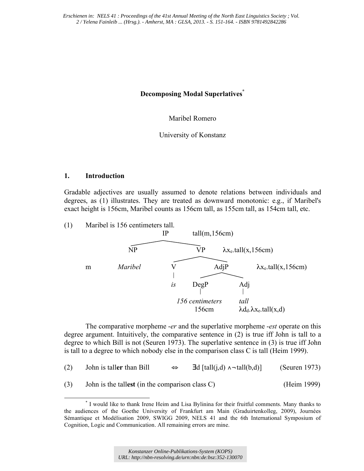# **Decomposing Modal Superlatives\***

Maribel Romero

University of Konstanz

# **1. Introduction**

Gradable adjectives are usually assumed to denote relations between individuals and degrees, as (1) illustrates. They are treated as downward monotonic: e.g., if Maribel's exact height is 156cm, Maribel counts as 156cm tall, as 155cm tall, as 154cm tall, etc.



The comparative morpheme -*er* and the superlative morpheme -*est* operate on this degree argument. Intuitively, the comparative sentence in (2) is true iff John is tall to a degree to which Bill is not (Seuren 1973). The superlative sentence in (3) is true iff John is tall to a degree to which nobody else in the comparison class C is tall (Heim 1999).

| (2) | John is taller than Bill                           | ⇔           | $\exists d$ [tall(j,d) $\land \neg$ tall(b,d)] | (Seuren 1973) |
|-----|----------------------------------------------------|-------------|------------------------------------------------|---------------|
| (3) | John is the tallest (in the comparison class $C$ ) | (Heim 1999) |                                                |               |

 <sup>\*</sup> I would like to thank Irene Heim and Lisa Bylinina for their fruitful comments. Many thanks to the audiences of the Goethe University of Frankfurt am Main (Graduirtenkolleg, 2009), Journées Sémantique et Modélisation 2009, SWIGG 2009, NELS 41 and the 6th International Symposium of Cognition, Logic and Communication. All remaining errors are mine.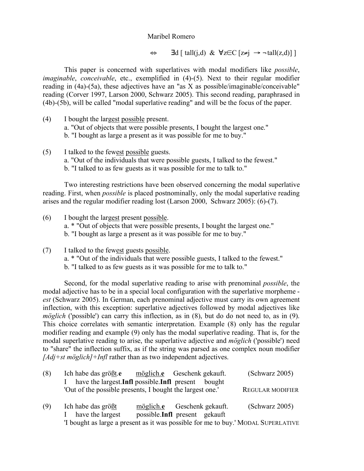$\Leftrightarrow$   $\exists d \, [\text{tall}(i,d) \& \forall z \in \mathbb{C} \, [z \neq i] \rightarrow \neg \, \text{tall}(z,d)]$ 

This paper is concerned with superlatives with modal modifiers like *possible*, *imaginable*, *conceivable*, etc., exemplified in (4)-(5). Next to their regular modifier reading in (4a)-(5a), these adjectives have an "as X as possible/imaginable/conceivable" reading (Corver 1997, Larson 2000, Schwarz 2005). This second reading, paraphrased in (4b)-(5b), will be called "modal superlative reading" and will be the focus of the paper.

- (4) I bought the largest possible present.
	- a. "Out of objects that were possible presents, I bought the largest one."
	- b. "I bought as large a present as it was possible for me to buy."
- (5) I talked to the fewest possible guests.
	- a. "Out of the individuals that were possible guests, I talked to the fewest."
	- b. "I talked to as few guests as it was possible for me to talk to."

Two interesting restrictions have been observed concerning the modal superlative reading. First, when *possible* is placed postnominally, only the modal superlative reading arises and the regular modifier reading lost (Larson 2000, Schwarz 2005): (6)-(7).

- (6) I bought the largest present possible. a. \* "Out of objects that were possible presents, I bought the largest one." b. "I bought as large a present as it was possible for me to buy."
- (7) I talked to the fewest guests possible. a. \* "Out of the individuals that were possible guests, I talked to the fewest." b. "I talked to as few guests as it was possible for me to talk to."

Second, for the modal superlative reading to arise with prenominal *possible*, the modal adjective has to be in a special local configuration with the superlative morpheme *est* (Schwarz 2005). In German, each prenominal adjective must carry its own agreement inflection, with this exception: superlative adjectives followed by modal adjectives like *möglich* ('possible') can carry this inflection, as in (8), but do do not need to, as in (9). This choice correlates with semantic interpretation. Example (8) only has the regular modifier reading and example (9) only has the modal superlative reading. That is, for the modal superlative reading to arise, the superlative adjective and *möglich* ('possible') need to "share" the inflection suffix, as if the string was parsed as one complex noun modifier *[Adj+st möglich]+Infl* rather than as two independent adjectives.

| (8) | Ich habe das größt.e                                                              |  | möglich.e Geschenk gekauft.                          | (Schwarz 2005)          |  |
|-----|-----------------------------------------------------------------------------------|--|------------------------------------------------------|-------------------------|--|
|     |                                                                                   |  | have the largest. Infl possible. Infl present bought |                         |  |
|     | 'Out of the possible presents, I bought the largest one.'                         |  |                                                      | <b>REGULAR MODIFIER</b> |  |
|     |                                                                                   |  |                                                      |                         |  |
| (9) | Ich habe das größt                                                                |  | möglich.e Geschenk gekauft.                          | (Schwarz 2005)          |  |
|     | have the largest<br>$\mathbf{L}$                                                  |  | possible.Infl present gekauft                        |                         |  |
|     | 'I bought as large a present as it was possible for me to buy.' MODAL SUPERLATIVE |  |                                                      |                         |  |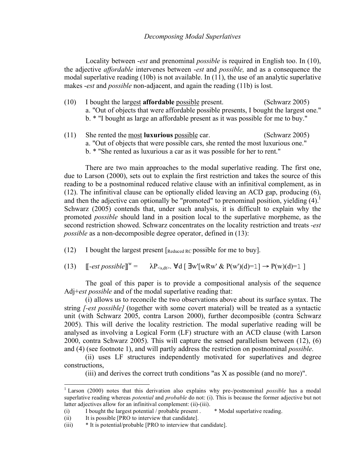Locality between -*est* and prenominal *possible* is required in English too. In (10), the adjective *affordable* intervenes between -*est* and *possible,* and as a consequence the modal superlative reading  $(10b)$  is not available. In  $(11)$ , the use of an analytic superlative makes -*est* and *possible* non-adjacent, and again the reading (11b) is lost.

- (10) I bought the largest **affordable** possible present. (Schwarz 2005) a. "Out of objects that were affordable possible presents, I bought the largest one." b. \* "I bought as large an affordable present as it was possible for me to buy."
- (11) She rented the most **luxurious** possible car. (Schwarz 2005) a. "Out of objects that were possible cars, she rented the most luxurious one." b. \* "She rented as luxurious a car as it was possible for her to rent."

There are two main approaches to the modal superlative reading. The first one, due to Larson (2000), sets out to explain the first restriction and takes the source of this reading to be a postnominal reduced relative clause with an infinitival complement, as in (12). The infinitival clause can be optionally elided leaving an ACD gap, producing (6), and then the adjective can optionally be "promoted" to prenominal position, yielding  $(4)$ .<sup>1</sup> Schwarz (2005) contends that, under such analysis, it is difficult to explain why the promoted *possible* should land in a position local to the superlative morpheme, as the second restriction showed. Schwarz concentrates on the locality restriction and treats *-est possible* as a non-decomposible degree operator, defined in (13):

(12) I bought the largest present  $\lceil_{\text{Reduced RC}}\rceil$  possible for me to buy].

(13)  $\mathbb{F}-\text{est possible}\mathbb{F}^w =$  $\lambda P_{\leq s \, ds}$ .  $\forall d \in \exists w' [wRw' \& P(w')(d)=1] \rightarrow P(w)(d)=1$ 

The goal of this paper is to provide a compositional analysis of the sequence Adj+*est possible* and of the modal superlative reading that:

(i) allows us to reconcile the two observations above about its surface syntax. The string *[-est possible]* (together with some covert material) will be treated as a syntactic unit (with Schwarz 2005, contra Larson 2000), further decomposible (contra Schwarz 2005). This will derive the locality restriction. The modal superlative reading will be analysed as involving a Logical Form (LF) structure with an ACD clause (with Larson 2000, contra Schwarz 2005). This will capture the sensed parallelism between (12), (6) and (4) (see footnote 1), and will partly address the restriction on postnominal *possible*.

(ii) uses LF structures independently motivated for superlatives and degree constructions,

(iii) and derives the correct truth conditions "as X as possible (and no more)".

 <sup>1</sup> Larson (2000) notes that this derivation also explains why pre-/postnominal *possible* has a modal superlative reading whereas *potential* and *probable* do not: (i). This is because the former adjective but not latter adjectives allow for an infinitival complement: (ii)-(iii).

<sup>(</sup>i) I bought the largest potential / probable present . \* Modal superlative reading.

<sup>(</sup>ii) It is possible [PRO to interview that candidate].

<sup>(</sup>iii) \* It is potential/probable [PRO to interview that candidate].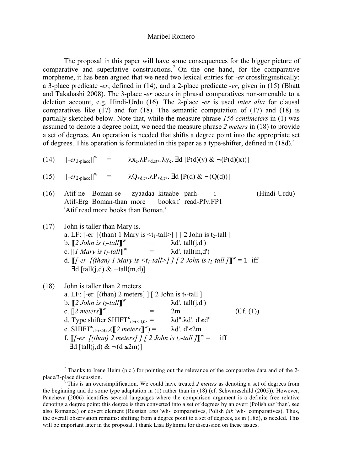The proposal in this paper will have some consequences for the bigger picture of comparative and superlative constructions.<sup>2</sup> On the one hand, for the comparative morpheme, it has been argued that we need two lexical entries for -*er* crosslinguistically: a 3-place predicate -*er*, defined in (14), and a 2-place predicate -*er*, given in (15) (Bhatt and Takahashi 2008). The 3-place -*er* occurs in phrasal comparatives non-amenable to a deletion account, e.g. Hindi-Urdu (16). The 2-place -*er* is used *inter alia* for clausal comparatives like (17) and for (18). The semantic computation of (17) and (18) is partially sketched below. Note that, while the measure phrase *156 centimeters* in (1) was assumed to denote a degree point, we need the measure phrase *2 meters* in (18) to provide a set of degrees. An operation is needed that shifts a degree point into the appropriate set of degrees. This operation is formulated in this paper as a type-shifter, defined in  $(18d)$ .<sup>3</sup>

(14)  $\left[\left[-e r_{3-\text{place}}\right]\right]^{\text{w}} = \lambda x_{\text{e}}.\lambda P_{\leq \text{d},\text{et}}.\lambda y_{\text{e}}.\ \text{Id}\left[P(\text{d})(y) \ \&\ \neg (P(\text{d})(x))\right]$ 

(15) 
$$
[\![-er_{2\text{-place}}]\!]^{\mathrm{w}} = \lambda Q_{\langle d, t \rangle} . \lambda P_{\langle d, t \rangle} . \exists d \; [P(d) \& \neg (Q(d))]
$$

- (16) Atif-ne Boman-se zyaadaa kitaabe parh- i (Hindi-Urdu) Atif-Erg Boman-than more books.f read-Pfv.FP1 'Atif read more books than Boman.'
- (17) John is taller than Mary is. a. LF:  $[-er$   $[(than) 1$  Mary is  $\leq t_1$ -tall  $]$   $[2$  John is  $t_2$ -tall  $]$ b.  $\llbracket 2 \text{ John is } t_2$ -tall $\rrbracket^w$ =  $\lambda d'$ . tall(j,d')<br>=  $\lambda d'$  tall(m d' c.  $\llbracket l$  *Mary is t<sub>1</sub>-tall* $\rrbracket^w$  $\lambda$ d'. tall(m,d') d.  $[[[-er_{1}](than) \, 1 \, Mary \, is \, \lt_{t_1} - tall \geq ] \, ] \, [ \, 2 \, John \, is \, t_2 - tall \, ] ]^w = 1 \, \text{ iff}$  $\exists d$  [tall(j,d) &  $\neg$ tall(m,d)]

(18) John is taller than 2 meters. a. LF:  $[-er \text{[(than) 2 meters]}]$   $[2 \text{ John is } t_2$ -tall  $]$ b.  $\llbracket 2 \text{ John is } t_2$ -tall $\rrbracket^w$ =  $\lambda d'. \text{ tall}(j,d')$ <br>=  $2m$ c. [[*2 meters*]]  $2m$  (Cf. (1)) d. Type shifter SHIFT $\leq_{d \rightarrow \leq d, t>}$ λd".λd'. d'≤d" e. SHIFT<sup>≤</sup><sub>d→<d,t></sub>([[2 meters]]  $\lambda$ d'. d'≤2m f.  $\llbracket$ *[-er [(than) 2 meters] ] [ 2 John is t<sub>2</sub>-tall ]* $\rrbracket^w = 1$  iff  $\exists d$  [tall(j,d) &  $\neg$ (d ≤2m)]

<sup>&</sup>lt;sup>2</sup> Thanks to Irene Heim (p.c.) for pointing out the relevance of the comparative data and of the 2place/3-place discussion.

<sup>&</sup>lt;sup>3</sup> This is an oversimplification. We could have treated 2 meters as denoting a set of degrees from the beginning and do some type adaptation in (1) rather than in (18) (cf. Schwarzschild (2005)). However, Pancheva (2006) identifies several languages where the comparison argument is a definite free relative denoting a degree point; this degree is then converted into a set of degrees by an overt (Polish *niz* 'than', see also Romance) or covert element (Russian *cem* 'wh-' comparatives, Polish *jak* 'wh-' comparatives). Thus, the overall observation remains: shifting from a degree point to a set of degrees, as in (18d), is needed. This will be important later in the proposal. I thank Lisa Bylinina for discussion on these issues.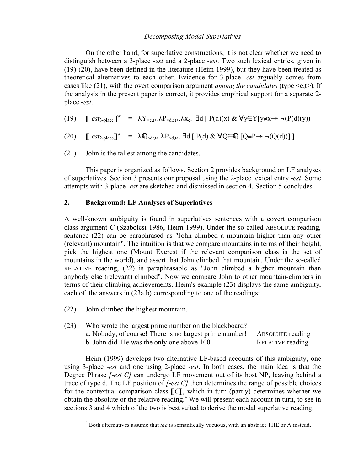# *Decomposing Modal Superlatives*

On the other hand, for superlative constructions, it is not clear whether we need to distinguish between a 3-place -*est* and a 2-place -*est*. Two such lexical entries, given in (19)-(20), have been defined in the literature (Heim 1999), but they have been treated as theoretical alternatives to each other. Evidence for 3-place -*est* arguably comes from cases like (21), with the overt comparison argument *among the candidates* (type <e,t>). If the analysis in the present paper is correct, it provides empirical support for a separate 2 place -*est*.

- (19)  $\left[\begin{array}{cc} \left[ -est_{3-\text{place}} \right] \right]^w = \lambda Y_{\leq e,\uparrow>} \cdot \lambda P_{\leq d,e\uparrow>} \cdot \lambda x_e$ . **3d**  $\left[ P(d)(x) \& \forall y \in Y[y \neq x \rightarrow \neg (P(d)(y))] \right]$
- (20)  $\left[\left[-est_{2-\text{place}}\right]\right]^w = \lambda \mathbb{Q}_{\le d,t} \ge \lambda P_{\le d,t}$ . **3d**  $\left[\left(P(d) \& \forall Q \in \mathbb{Q} \left[Q \neq P \rightarrow \neg(Q(d))\right]\right]\right)$
- (21) John is the tallest among the candidates.

This paper is organized as follows. Section 2 provides background on LF analyses of superlatives. Section 3 presents our proposal using the 2-place lexical entry -*est*. Some attempts with 3-place -*est* are sketched and dismissed in section 4. Section 5 concludes.

# **2. Background: LF Analyses of Superlatives**

A well-known ambiguity is found in superlatives sentences with a covert comparison class argument *C* (Szabolcsi 1986, Heim 1999). Under the so-called ABSOLUTE reading, sentence (22) can be paraphrased as "John climbed a mountain higher than any other (relevant) mountain". The intuition is that we compare mountains in terms of their height, pick the highest one (Mount Everest if the relevant comparison class is the set of mountains in the world), and assert that John climbed that mountain. Under the so-called RELATIVE reading, (22) is paraphrasable as "John climbed a higher mountain than anybody else (relevant) climbed". Now we compare John to other mountain-climbers in terms of their climbing achievements. Heim's example (23) displays the same ambiguity, each of the answers in (23a,b) corresponding to one of the readings:

- (22) John climbed the highest mountain.
- (23) Who wrote the largest prime number on the blackboard? a. Nobody, of course! There is no largest prime number! ABSOLUTE reading b. John did. He was the only one above 100. RELATIVE reading

Heim (1999) develops two alternative LF-based accounts of this ambiguity, one using 3-place -*est* and one using 2-place -*est*. In both cases, the main idea is that the Degree Phrase *[*-*est C]* can undergo LF movement out of its host NP, leaving behind a trace of type d. The LF position of *[*-*est C]* then determines the range of possible choices for the contextual comparison class [[*C*]], which in turn (partly) determines whether we obtain the absolute or the relative reading.<sup>4</sup> We will present each account in turn, to see in sections 3 and 4 which of the two is best suited to derive the modal superlative reading.

 $\overline{a}$ Both alternatives assume that *the* is semantically vacuous, with an abstract THE or A instead.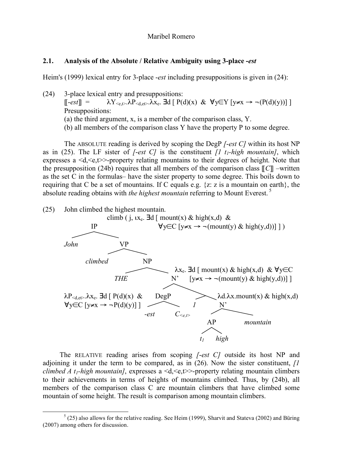#### **2.1. Analysis of the Absolute / Relative Ambiguity using 3-place -***est*

Heim's (1999) lexical entry for 3-place -*est* including presuppositions is given in (24):

- (24) 3-place lexical entry and presuppositions:  $\lbrack \lbrack -est \rbrack \rbrack = \lambda Y_{\leq e} \cdot \lambda P_{\leq d,e} \cdot \lambda X_e$ . **Ed**  $\lbrack P(d)(x) \& \forall y \in Y \mid y \neq x \rightarrow \neg (P(d)(y))] \rbrack$ Presuppositions: (a) the third argument, x, is a member of the comparison class, Y.
	- (b) all members of the comparison class Y have the property P to some degree.

The ABSOLUTE reading is derived by scoping the DegP *[*-*est C]* within its host NP as in (25). The LF sister of *[*-*est C]* is the constituent *[1 t1-high mountain]*, which expresses a  $\langle d, \langle e, t \rangle \rangle$ -property relating mountains to their degrees of height. Note that the presupposition (24b) requires that all members of the comparison class  $\llbracket C \rrbracket$  –written as the set C in the formulas– have the sister property to some degree. This boils down to requiring that C be a set of mountains. If C equals e.g. {z: z is a mountain on earth}, the absolute reading obtains with *the highest mountain* referring to Mount Everest. <sup>5</sup>



The RELATIVE reading arises from scoping *[*-*est C]* outside its host NP and adjoining it under the term to be compared, as in (26). Now the sister constituent, *[1 climbed A t<sub>1</sub>-high mountain]*, expresses a  $\langle d, \langle e, t \rangle \rangle$ -property relating mountain climbers to their achievements in terms of heights of mountains climbed. Thus, by (24b), all members of the comparison class C are mountain climbers that have climbed some mountain of some height. The result is comparison among mountain climbers.

 $rac{1}{5}$  $<sup>5</sup>$  (25) also allows for the relative reading. See Heim (1999), Sharvit and Stateva (2002) and Büring</sup> (2007) among others for discussion.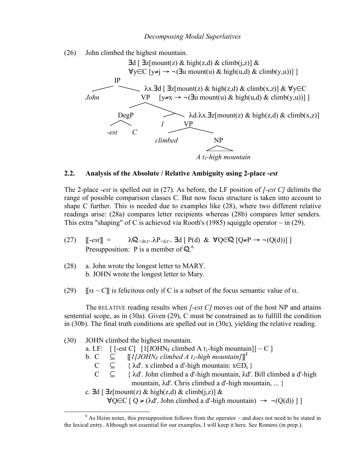(26) John climbed the highest mountain.



# **2.2. Analysis of the Absolute / Relative Ambiguity using 2-place -***est*

The 2-place -*est* is spelled out in (27). As before, the LF position of *[-est C]* delimits the range of possible comparison classes C. But now focus structure is taken into account to shape C further. This is needed due to examples like (28), where two different relative readings arise: (28a) compares letter recipients whereas (28b) compares letter senders. This extra "shaping" of C is achieved via Rooth's (1985) squiggle operator  $\sim$  in (29).

- $(27)$   $\left[\begin{array}{l} -e^{t} \end{array}\right] = \lambda \mathbb{Q}_{\leq d(t)} \cdot \lambda P_{\leq d(t)}$ . **E**d  $\left[P(d) \& \forall Q \in \mathbb{Q} \left[Q \neq P \rightarrow \neg (Q(d))\right]\right]$ Presupposition: P is a member of  $\mathbb{Q}^6$ .
- (28) a. John wrote the longest letter to MARY. b. JOHN wrote the longest letter to Mary.
- (29)  $[\![\alpha \sim C]\!]$  is felicitous only if C is a subset of the focus semantic value of  $\alpha$ .

The RELATIVE reading results when *[-est C]* moves out of the host NP and attains sentential scope, as in (30a). Given (29), C must be constrained as to fulfill the condition in (30b). The final truth conditions are spelled out in (30c), yielding the relative reading.

(30) JOHN climbed the highest mountain. a. LF:  $\left[ \begin{array}{cc} \text{--} \text{--} \end{array} \right]$  [1 $\left[ \text{JOHN}_F \text{climbed A } t_1\text{-high mountain} \right]$ ] ~ C ] b. C  $\quad \subseteq$   $\left[$   $\left[$ *I*[*JOHN<sub>F</sub> climbed A t<sub>1</sub>-high mountain*]]<sup>F</sup> C  $\subseteq$  {  $\lambda$ d'. x climbed a d'-high mountain: x∈D<sub>e</sub> }<br>C  $\subseteq$  {  $\lambda$ d' Iohn climbed a d'-high mountain  $\lambda$ d' { λd'. John climbed a d'-high mountain, λd'. Bill climbed a d'-high mountain, λd'. Chris climbed a d'-high mountain, ... } c.  $\exists d \, [\, \exists z \, [\text{mount}(z) \& \text{high}(z,d) \& \text{climb}(j,z)] \&$  $\forall Q \in C \mid Q \neq (\lambda d'$ . John climbed a d'-high mountain)  $\rightarrow \neg (Q(d)) \mid \neg$ 

 <sup>6</sup>  $6$  As Heim notes, this presupposition follows from the operator  $\sim$  and does not need to be stated in the lexical entry. Although not essential for our examples, I will keep it here. See Romero (in prep.).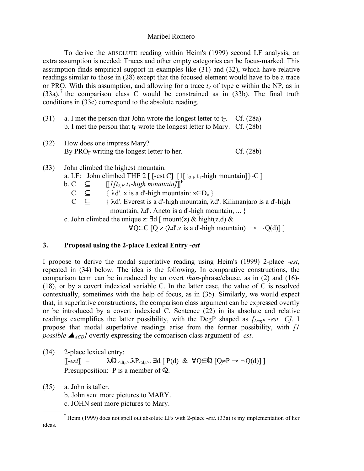To derive the ABSOLUTE reading within Heim's (1999) second LF analysis, an extra assumption is needed: Traces and other empty categories can be focus-marked. This assumption finds empirical support in examples like (31) and (32), which have relative readings similar to those in (28) except that the focused element would have to be a trace or PRO. With this assumption, and allowing for a trace  $t_2$  of type e within the NP, as in  $(33a)$ ,<sup>7</sup> the comparison class C would be constrained as in  $(33b)$ . The final truth conditions in (33c) correspond to the absolute reading.

- (31) a. I met the person that John wrote the longest letter to  $t_F$ . Cf. (28a) b. I met the person that  $t_F$  wrote the longest letter to Mary. Cf. (28b)
- (32) How does one impress Mary? By  $PRO<sub>F</sub>$  writing the longest letter to her. Cf. (28b)
- (33) John climbed the highest mountain.

a. LF: John climbed THE 2 [ [-est C] [1[  $t_{2,F}$  t<sub>1</sub>-high mountain]] $\sim$ C ]

- b. C  $\subseteq$   $\left[\frac{1}{t_{2,F}}t_1\text{-high mountain}\right]$ <sup>F</sup>
	- $C \subseteq \{ \lambda d'. x \text{ is a } d'$ -high mountain:  $x \in D_e \}$
	- $C \subseteq \{\lambda d'$ . Everest is a d'-high mountain,  $\lambda d'$ . Kilimanjaro is a d'-high mountain, λd'. Aneto is a d'-high mountain, ... }

c. John climbed the unique z:  $\exists d \mid \text{mount}(z) \& \text{hight}(z,d) \& \text{sim}$ 

 $\forall Q \in C \left[ Q \neq (\lambda d'.z \text{ is a } d'\text{-high mountain}) \rightarrow \neg Q(d) \right]$ 

# **3. Proposal using the 2-place Lexical Entry -***est*

I propose to derive the modal superlative reading using Heim's (1999) 2-place -*est*, repeated in (34) below. The idea is the following. In comparative constructions, the comparison term can be introduced by an overt *than-*phrase/clause, as in (2) and (16)- (18), or by a covert indexical variable C. In the latter case, the value of C is resolved contextually, sometimes with the help of focus, as in (35). Similarly, we would expect that, in superlative constructions, the comparison class argument can be expressed overtly or be introduced by a covert indexical C. Sentence (22) in its absolute and relative readings exemplifies the latter possibility, with the DegP shaped as *[DegP -est C]*. I propose that modal superlative readings arise from the former possibility, with *[1 possible*  $\blacktriangle$ <sub>*ACD</sub>* overtly expressing the comparison class argument of -*est*.</sub>

- (34) 2-place lexical entry:  $\lbrack \lbrack -est \rbrack \rbrack = \lambda \mathbb{Q}_{\leq d,t} \& \lambda P_{\leq d,t}$ .  $\exists d \lbrack P(d) \& \forall Q \in \mathbb{Q} \lbrack Q \neq P \rightarrow \neg Q(d) \rbrack \rbrack$ Presupposition: P is a member of  $\mathbb{Q}$ .
- (35) a. John is taller. b. John sent more pictures to MARY.

c. JOHN sent more pictures to Mary.

 <sup>7</sup>  $^7$  Heim (1999) does not spell out absolute LFs with 2-place -est. (33a) is my implementation of her ideas.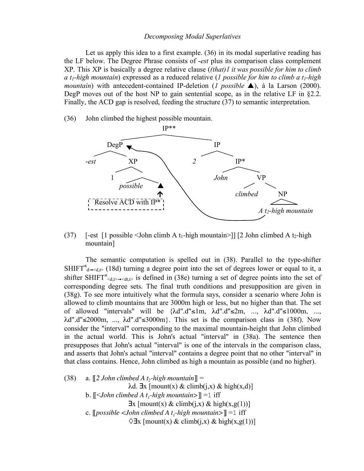#### *Decomposing Modal Superlatives*

Let us apply this idea to a first example. (36) in its modal superlative reading has the LF below. The Degree Phrase consists of -*est* plus its comparison class complement XP. This XP is basically a degree relative clause (*(that)1 it was possible for him to climb a t1-high mountain*) expressed as a reduced relative (*1 possible for him to climb a t1-high mountain*) with antecedent-contained IP-deletion (*1 possible*  $\triangle$ ), à la Larson (2000). DegP moves out of the host NP to gain sentential scope, as in the relative LF in §2.2. Finally, the ACD gap is resolved, feeding the structure (37) to semantic interpretation.

(36) John climbed the highest possible mountain.



(37) [-est [1 possible  $\leq$  John climb A t<sub>1</sub>-high mountain  $\geq$ ] [2 John climbed A t<sub>2</sub>-high mountain]

The semantic computation is spelled out in (38). Parallel to the type-shifter SHIFT<sup> $\epsilon$ </sup><sub>d→<d,t></sub> (18d) turning a degree point into the set of degrees lower or equal to it, a shifter SHIFT<sup>≤</sup>  $\ll_{d,t}$   $\rightarrow$   $\ll$  at,t is defined in (38e) turning a set of degree points into the set of corresponding degree sets. The final truth conditions and presupposition are given in (38g). To see more intuitively what the formula says, consider a scenario where John is allowed to climb mountains that are 3000m high or less, but no higher than that. The set of allowed "intervals" will be  $\{\lambda d''.d'' \leq 1m, \lambda d''.d'' \leq 2m, \ldots, \lambda d''.d'' \leq 1000m, \ldots,$  $\lambda$ d".d"≤2000m, ...,  $\lambda$ d".d"≤3000m}. This set is the comparison class in (38f). Now consider the "interval" corresponding to the maximal mountain-height that John climbed in the actual world. This is John's actual "interval" in (38a). The sentence then presupposes that John's actual "interval" is one of the intervals in the comparison class, and asserts that John's actual "interval" contains a degree point that no other "interval" in that class contains. Hence, John climbed as high a mountain as possible (and no higher).

 $(38)$  a.  $\llbracket 2 \text{ John climbed A } t_2\text{-high mountain} \rrbracket =$ λd.  $\exists$ x [mount(x) & climb(j,x) & high(x,d)] b.  $\llbracket \langle$ -*John climbed A t<sub>1</sub>-high mountain*> $\llbracket = 1$  iff  $\exists$ x [mount(x) & climb(j,x) & high(x,g(1))] c.  $[possible < John$  climbed A t<sub>1</sub>-high mountain> $] = 1$  iff  $\Diamond \exists x \, [\text{mount}(x) \& \text{climb}(i,x) \& \text{high}(x,g(1))]$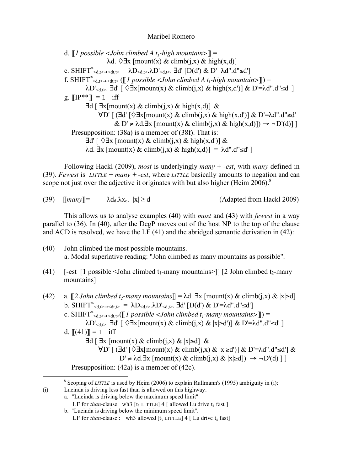d.  $\llbracket l$  possible  $\lt$ John climbed A t<sub>1</sub>-high mountain> $\rrbracket$  = λd.  $\Diamond$ **∃**x [mount(x) & climb(j,x) & high(x,d)] e. SHIFT<sup>≤</sup>  $\langle d, t \rangle \rightarrow \langle dt, t \rangle = \lambda D \langle d, t \rangle$ .  $\lambda D' \langle d, t \rangle$ .  $\exists d' [D(d') \& D' = \lambda d'' \cdot d'' \leq d']$ f. SHIFT<sup> $\leq_{d,t\geq t\leq d,t\geq t} (\llbracket l \text{ possible } <1 \text{ohn } climbed A t_l-high \text{ mountain>} \rrbracket) =$ </sup>  $\lambda$ D'<sub><d,t></sub>. **∃**d' [  $\Diamond$ **∃**x[mount(x) & climb(j,x) & high(x,d')] & D'=λd".d"≤d' ] g.  $[IP^{**}] = 1$  iff  $\exists d \, [\, \exists x \, [\text{mount}(x) \& \text{climb}(i,x) \& \text{high}(x,d)] \&$  $\forall D' \mid (\exists d' \mid \Diamond \exists x [mount(x) \& claimb(i,x) \& high(x,d')] \& D' = \lambda d''.d'' \leq d'$  $\& D' \neq \lambda d. \exists x \; [\text{mount}(x) \& \text{climb}(i, x) \& \text{high}(x, d)] \rightarrow \neg D'(d)]$  Presupposition: (38a) is a member of (38f). That is:  $\exists d' \upharpoonright \Diamond \exists x \upharpoonright \text{mount}(x) \& \text{climb}(i,x) \& \text{high}(x,d') \upharpoonright \&$ λd.  $\exists$ x [mount(x) & climb(j,x) & high(x,d)] = λd".d"≤d']

Following Hackl (2009), *most* is underlyingly *many +* -*est*, with *many* defined in (39). *Fewest* is *LITTLE* + *many +*-*est*, where *LITTLE* basically amounts to negation and can scope not just over the adjective it originates with but also higher (Heim 2006).<sup>8</sup>

(39)  $\text{[many]} = \lambda d_d \lambda x_e$ .  $|x| \ge d$  (Adapted from Hackl 2009)

This allows us to analyse examples (40) with *most* and (43) with *fewest* in a way parallel to (36). In (40), after the DegP moves out of the host NP to the top of the clause and ACD is resolved, we have the LF (41) and the abridged semantic derivation in (42):

- (40) John climbed the most possible mountains. a. Modal superlative reading: "John climbed as many mountains as possible".
- (41) [-est  $\lceil 1 \rceil$  possible  $\leq$  John climbed t<sub>1</sub>-many mountains>]]  $\lceil 2 \rceil$  John climbed t<sub>2</sub>-many mountains]
- (42) a.  $[2 \text{ John climbed } t_2\text{-many mountains}] = \lambda d$ .  $\exists x \text{ [mount(x) & climb(j, x) & |x| \geq d]}$ b.  $\text{SHIFT}^{\leq}(d, t) \rightarrow \text{Sd}, t \gg 0$  =  $\lambda D_{\leq d, t}$ .  $\lambda D'_{\leq d, t}$ .  $\exists d' \left[ D(d') \& D' = \lambda d'' \cdot d'' \leq d' \right]$ c. SHIFT<sup> $\leq_{\text{d},t\geq\to\text{d}t,t\geq}$  ([[*l* possible  $\lt$ John climbed t<sub>1</sub>-many mountains>]]) =</sup>  $\lambda$ D'<sub><d,t></sub>. **∃**d' [  $\Diamond$ **∃**x[mount(x) & climb(j,x) & |x|≥d')] & D'=λd".d"≤d' ] d.  $[[(41)] = 1$  iff  $\exists d \, [\, \exists x \, [\text{mount}(x) \& \text{climb}(i,x) \& |x| \geq d] \&$  $\forall D'$  [ (∃d' [ $\Diamond \exists x$ [mount(x) & climb(j,x) & |x|≥d')] & D'= $\lambda$ d".d"≤d'] &  $D' \neq \lambda d$ .∃x  $\lceil \text{mount}(x) \& \text{climb}(i,x) \& \vert x \vert \geq d \rceil$ ) → ¬ $D'(d) \rceil$

Presupposition: (42a) is a member of (42c).

 <sup>8</sup> <sup>8</sup> Scoping of *LITTLE* is used by Heim (2006) to explain Rullmann's (1995) ambiguity in (i): (i) Lucinda is driving less fast than is allowed on this highway.

a. "Lucinda is driving below the maximum speed limit"

LF for *than*-clause: wh3  $[t_3$  LITTLE 4 [ allowed Lu drive  $t_4$  fast ]

b. "Lucinda is driving below the minimum speed limit".

LF for *than*-clause : wh3 allowed  $[t_3$  LITTLE] 4 [ Lu drive  $t_4$  fast]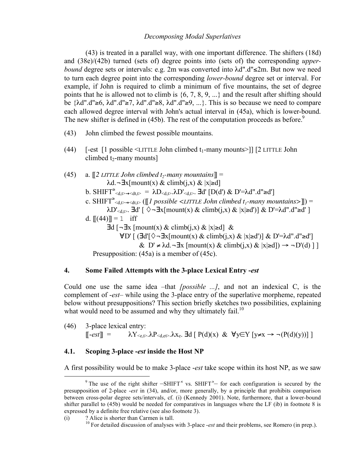#### *Decomposing Modal Superlatives*

(43) is treated in a parallel way, with one important difference. The shifters (18d) and (38e)/(42b) turned (sets of) degree points into (sets of) the corresponding *upperbound* degree sets or intervals: e.g. 2m was converted into λd".d"≤2m. But now we need to turn each degree point into the corresponding *lower-bound* degree set or interval. For example, if John is required to climb a minimum of five mountains, the set of degree points that he is allowed not to climb is {6, 7, 8, 9, ...} and the result after shifting should be {λd".d"≥6, λd".d"≥7, λd".d"≥8, λd".d"≥9, ...}. This is so because we need to compare each allowed degree interval with John's actual interval in (45a), which is lower-bound. The new shifter is defined in (45b). The rest of the computation proceeds as before.<sup>9</sup>

- (43) John climbed the fewest possible mountains.
- (44)  $[-est]$  [1 possible  $\leq$ LITTLE John climbed t<sub>1</sub>-many mounts $>$ ]] [2 LITTLE John climbed  $t_2$ -many mounts]
- (45) a.  $\llbracket 2$  *LITTLE John climbed t<sub>2</sub>-many mountains* $\llbracket =$  $\lambda$ d.¬∃x[mount(x) & climb(j,x) & |x|≥d] b.  $SHIFT^{\geq}_{d,t\geq t\leq dt,t>} = \lambda D_{\leq d,t>}.\lambda D'_{\leq d,t>}$ .  $\exists d' [D(d') \& D'=\lambda d''.d']$ c. SHIFT<sup> $\geq_{d,t\geq\text{-}d,t\geq\text{-}}$  ([[*l* possible <LITTLE John climbed  $t_1$ -many mountains>]]) =</sup>  $\lambda$ D'<sub><d,t></sub>. **∃d'** [  $\Diamond \neg \exists x$ [mount(x) & climb(j,x) & |x|≥d')] & D'= $\lambda$ d".d"≥d' ] d.  $[[(44)] = 1$  iff ∃d [¬∃x [mount(x) & climb(j,x) & |x|≥d] &  $\forall D'$  [ ( $\exists d' \{\Diamond \neg \exists x \{mount(x) \& climb(i,x) \& |x| \geq d'\}] \& D' = \lambda d'' \cdot d'' \geq d'$ ] &  $D' \neq \lambda d. \neg \exists x \; [mount(x) \& climb(j,x) \& |x| \geq d]) \rightarrow \neg D'(d) \; ]$ Presupposition: (45a) is a member of (45c).

#### **4. Some Failed Attempts with the 3-place Lexical Entry -***est*

Could one use the same idea –that *[possible ...]*, and not an indexical C, is the complement of -*est*– while using the 3-place entry of the superlative morpheme, repeated below without presuppositions? This section briefly sketches two possibilities, explaining what would need to be assumed and why they ultimately fail.<sup>10</sup>

(46) 3-place lexical entry:  $[-est] = \lambda Y_{\leq e, t>} \lambda P_{\leq d, e t>} \lambda x_e$ . **Ed** [ P(d)(x) &  $\forall y \in Y$  [ $y \neq x \rightarrow \neg (P(d)(y))$ ] ]

### **4.1. Scoping 3-place -***est* **inside the Host NP**

A first possibility would be to make 3-place -*est* take scope within its host NP, as we saw

 <sup>9</sup> The use of the right shifter  $-SHIFT<sup>{s}</sup>$  vs. SHIFT<sup> $\succeq$ </sup> for each configuration is secured by the presupposition of 2-place -*est* in (34), and/or, more generally, by a principle that prohibits comparison between cross-polar degree sets/intervals, cf. (i) (Kennedy 2001). Note, furthermore, that a lower-bound shifter parallel to (45b) would be needed for comparatives in languages where the LF (ib) in footnote 8 is expressed by a definite free relative (see also footnote 3).

<sup>(</sup>i) ? Alice is shorter than Carmen is tall.

<sup>&</sup>lt;sup>10</sup> For detailed discussion of analyses with 3-place *-est* and their problems, see Romero (in prep.).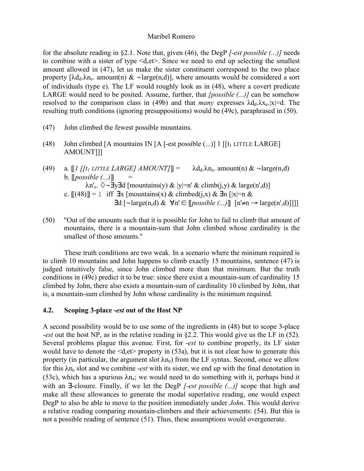for the absolute reading in §2.1. Note that, given (46), the DegP *[-est possible (...)]* needs to combine with a sister of type <d,et>. Since we need to end up selecting the smallest amount allowed in (47), let us make the sister constituent correspond to the two place property  $[\lambda d_d, \lambda n_e]$  amount(n)  $\& \neg \text{large}(n,d)]$ , where amounts would be considered a sort of individuals (type e). The LF would roughly look as in (48), where a covert predicate LARGE would need to be posited. Assume, further, that *[possible (...)]* can be somehow resolved to the comparison class in (49b) and that *many* expresses  $\lambda d_d \lambda x_e$ ,  $|x|=d$ . The resulting truth conditions (ignoring presuppositions) would be (49c), paraphrased in (50).

- (47) John climbed the fewest possible mountains.
- (48) John climbed [A mountains IN [A [-est possible  $(...)$ ] 1 [[t<sub>1</sub> LITTLE LARGE] AMOUNT]]]
- (49) a.  $\llbracket l \rrbracket / t_1$  *LITTLE LARGE] AMOUNT* $\llbracket l \rrbracket = \lambda d_d \lambda n_e$ . amount(n) &  $\neg \text{large}(n,d)$  $b.$  [*possible (...)*]  $\lambda n'_{e}$ .  $\Diamond$  ¬  $\exists y \exists d$  [mountains(y) & |y|=n' & climb(j,y) & large(n',d)] c.  $[(48)] = 1$  iff  $\exists$ x [mountains(x) & climbed(j,x) &  $\exists$ n [|x|=n &  $\exists d$   $\lceil \neg \text{large}(n,d) \& \forall n' \in \lceil possible (\dots) \rceil$   $\lceil n' \neq n \rightarrow \text{large}(n',d) \rceil \rceil$
- (50) "Out of the amounts such that it is possible for John to fail to climb that amount of mountains, there is a mountain-sum that John climbed whose cardinality is the smallest of those amounts."

These truth conditions are two weak. In a scenario where the mininum required is to climb 10 mountains and John happens to climb exactly 15 mountains, sentence (47) is judged intuitively false, since John climbed more than that minimum. But the truth conditions in (49c) predict it to be true: since there exist a mountain-sum of cardinality 15 climbed by John, there also exists a mountain-sum of cardinality 10 climbed by John, that is, a mountain-sum climbed by John whose cardinality is the minimum required.

# **4.2. Scoping 3-place -***est* **out of the Host NP**

A second possibility would be to use some of the ingredients in (48) but to scope 3-place -*est* out the host NP, as in the relative reading in §2.2. This would give us the LF in (52). Several problems plague this avenue. First, for -*est* to combine properly, its LF sister would have to denote the  $\le d, et\ge$  property in (53a), but it is not clear how to generate this property (in particular, the argument slot  $\lambda n_e$ ) from the LF syntax. Second, once we allow for this  $\lambda n_e$  slot and we combine *-est* with its sister, we end up with the final denotation in (53c), which has a spurious  $\lambda n_e$ ; we would need to do something with it, perhaps bind it with an ∃-closure. Finally, if we let the DegP *[-est possible (...)]* scope that high and make all these allowances to generate the modal superlative reading, one would expect DegP to also be able to move to the position immediately under *John*. This would derive a relative reading comparing mountain-climbers and their achievements: (54). But this is not a possible reading of sentence (51). Thus, these assumptions would overgenerate.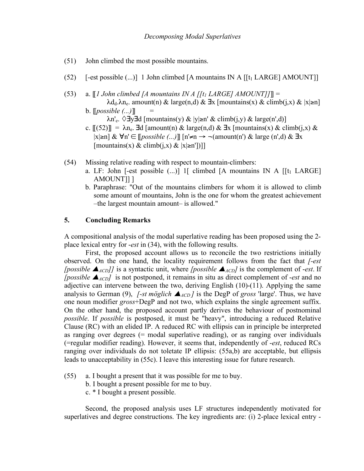- (51) John climbed the most possible mountains.
- (52)  $[-est possible (...)]$  1 John climbed [A mountains IN A [[t<sub>1</sub> LARGE] AMOUNT]]
- (53) a.  $\llbracket l$  John climbed [A mountains IN A [[t<sub>1</sub> LARGE] AMOUNT]]] =  $\lambda$ d<sub>d</sub>.λn<sub>e</sub>. amount(n) & large(n,d) & ∃x [mountains(x) & climb(j,x) & |x|≥n]
	- $b.$  [*possible (...)*]  $\lambda n'_{\rm e}$ .  $\Diamond \exists y \exists d$  [mountains(y) & |y|≥n' & climb(j,y) & large(n',d)]
	- c.  $[(52)] = \lambda_{n_e}$ . ∃d [amount(n) & large(n,d) & ∃x [mountains(x) & climb(j,x) & |x|≥n] & ∀n' ∈ [[*possible (...)*]] [n'≠n → ¬(amount(n') & large (n',d) & ∃x  $[\text{mountains}(x) \& \text{climb}(i,x) \& [x| \geq n']$ ]
- (54) Missing relative reading with respect to mountain-climbers:
	- a. LF: John [-est possible  $(...)$ ] 1[ climbed [A mountains IN A [[t<sub>1</sub> LARGE]] AMOUNT]] ]
	- b. Paraphrase: "Out of the mountains climbers for whom it is allowed to climb some amount of mountains, John is the one for whom the greatest achievement –the largest mountain amount– is allowed."

# **5. Concluding Remarks**

A compositional analysis of the modal superlative reading has been proposed using the 2 place lexical entry for -*est* in (34), with the following results.

First, the proposed account allows us to reconcile the two restrictions initially observed. On the one hand, the locality requirement follows from the fact that *[-est [possible*  $\blacktriangle$ *<sub>ACD</sub>]]* is a syntactic unit, where *[possible*  $\blacktriangle$ *<sub>ACD</sub>]* is the complement of -*est*. If *[possible*  $\blacktriangle$ <sub>*ACD</sub>]* is not postponed, it remains in situ as direct complement of -*est* and no</sub> adjective can intervene between the two, deriving English (10)-(11). Applying the same analysis to German (9), *[-st möglich*  $\triangle_{ACD}$ *]* is the DegP of *gross* 'large'. Thus, we have one noun modifier *gross*+DegP and not two, which explains the single agreement suffix. On the other hand, the proposed account partly derives the behaviour of postnominal *possible*. If *possible* is postposed, it must be "heavy", introducing a reduced Relative Clause (RC) with an elided IP. A reduced RC with ellipsis can in principle be interpreted as ranging over degrees (= modal superlative reading), or as ranging over individuals (=regular modifier reading). However, it seems that, independently of -*est*, reduced RCs ranging over individuals do not toletate IP ellipsis: (55a,b) are acceptable, but ellipsis leads to unacceptability in (55c). I leave this interesting issue for future research.

- (55) a. I bought a present that it was possible for me to buy.
	- b. I bought a present possible for me to buy.
	- c. \* I bought a present possible.

Second, the proposed analysis uses LF structures independently motivated for superlatives and degree constructions. The key ingredients are: (i) 2-place lexical entry -